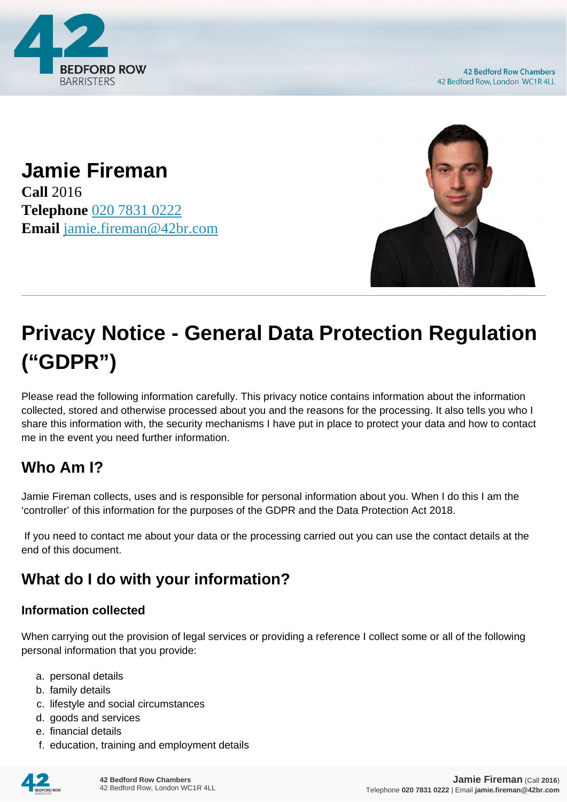

**42 Bedford Row Chambers** 42 Bedford Row, London WC1R 4LL

**Jamie Fireman Call** 2016 **Telephone** [020 7831 0222](https://pdf.codeshore.co/_42br/tel:020 7831 0222) **Email** [jamie.fireman@42br.com](mailto:jamie.fireman@42br.com)



# **Privacy Notice - General Data Protection Regulation ("GDPR")**

Please read the following information carefully. This privacy notice contains information about the information collected, stored and otherwise processed about you and the reasons for the processing. It also tells you who I share this information with, the security mechanisms I have put in place to protect your data and how to contact me in the event you need further information.

# **Who Am I?**

Jamie Fireman collects, uses and is responsible for personal information about you. When I do this I am the 'controller' of this information for the purposes of the GDPR and the Data Protection Act 2018.

 If you need to contact me about your data or the processing carried out you can use the contact details at the end of this document.

# **What do I do with your information?**

#### **Information collected**

When carrying out the provision of legal services or providing a reference I collect some or all of the following personal information that you provide:

- a. personal details
- b. family details
- c. lifestyle and social circumstances
- d. goods and services
- e. financial details
- f. education, training and employment details

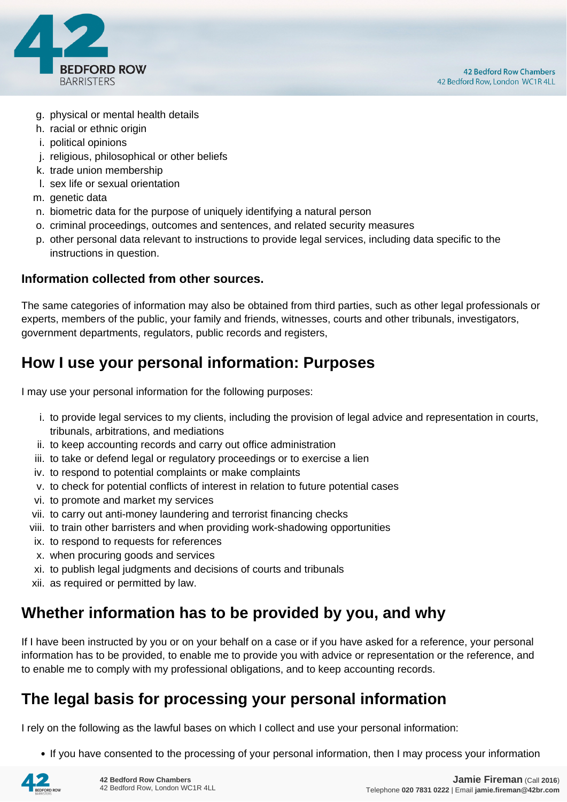

- g. physical or mental health details
- h. racial or ethnic origin
- i. political opinions
- j. religious, philosophical or other beliefs
- k. trade union membership
- l. sex life or sexual orientation
- m. genetic data
- n. biometric data for the purpose of uniquely identifying a natural person
- o. criminal proceedings, outcomes and sentences, and related security measures
- p. other personal data relevant to instructions to provide legal services, including data specific to the instructions in question.

#### **Information collected from other sources.**

The same categories of information may also be obtained from third parties, such as other legal professionals or experts, members of the public, your family and friends, witnesses, courts and other tribunals, investigators, government departments, regulators, public records and registers,

## **How I use your personal information: Purposes**

I may use your personal information for the following purposes:

- i. to provide legal services to my clients, including the provision of legal advice and representation in courts, tribunals, arbitrations, and mediations
- ii. to keep accounting records and carry out office administration
- iii. to take or defend legal or regulatory proceedings or to exercise a lien
- iv. to respond to potential complaints or make complaints
- v. to check for potential conflicts of interest in relation to future potential cases
- vi. to promote and market my services
- vii. to carry out anti-money laundering and terrorist financing checks
- viii. to train other barristers and when providing work-shadowing opportunities
- ix. to respond to requests for references
- x. when procuring goods and services
- xi. to publish legal judgments and decisions of courts and tribunals
- xii. as required or permitted by law.

## **Whether information has to be provided by you, and why**

If I have been instructed by you or on your behalf on a case or if you have asked for a reference, your personal information has to be provided, to enable me to provide you with advice or representation or the reference, and to enable me to comply with my professional obligations, and to keep accounting records.

## **The legal basis for processing your personal information**

I rely on the following as the lawful bases on which I collect and use your personal information:

• If you have consented to the processing of your personal information, then I may process your information

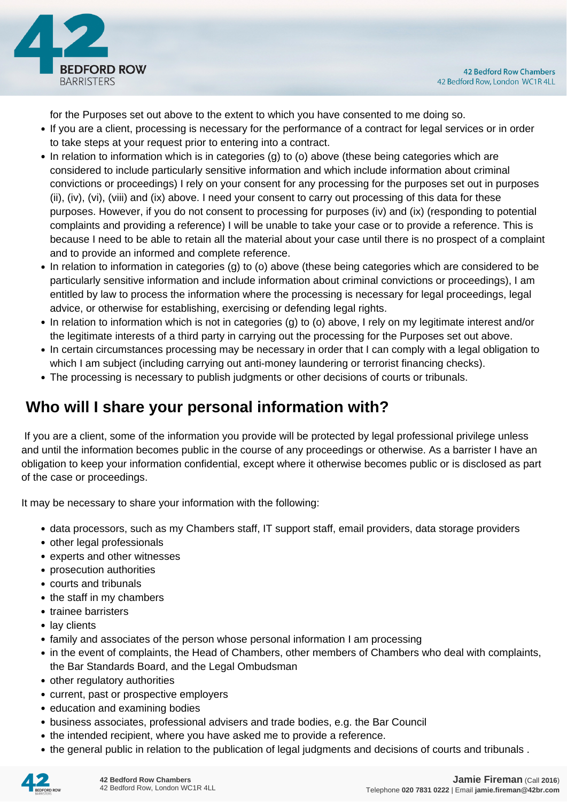

for the Purposes set out above to the extent to which you have consented to me doing so.

- If you are a client, processing is necessary for the performance of a contract for legal services or in order to take steps at your request prior to entering into a contract.
- In relation to information which is in categories (g) to (o) above (these being categories which are considered to include particularly sensitive information and which include information about criminal convictions or proceedings) I rely on your consent for any processing for the purposes set out in purposes (ii), (iv), (vi), (viii) and (ix) above. I need your consent to carry out processing of this data for these purposes. However, if you do not consent to processing for purposes (iv) and (ix) (responding to potential complaints and providing a reference) I will be unable to take your case or to provide a reference. This is because I need to be able to retain all the material about your case until there is no prospect of a complaint and to provide an informed and complete reference.
- In relation to information in categories (g) to (o) above (these being categories which are considered to be particularly sensitive information and include information about criminal convictions or proceedings), I am entitled by law to process the information where the processing is necessary for legal proceedings, legal advice, or otherwise for establishing, exercising or defending legal rights.
- In relation to information which is not in categories (g) to (o) above, I rely on my legitimate interest and/or the legitimate interests of a third party in carrying out the processing for the Purposes set out above.
- In certain circumstances processing may be necessary in order that I can comply with a legal obligation to which I am subject (including carrying out anti-money laundering or terrorist financing checks).
- The processing is necessary to publish judgments or other decisions of courts or tribunals.

# **Who will I share your personal information with?**

 If you are a client, some of the information you provide will be protected by legal professional privilege unless and until the information becomes public in the course of any proceedings or otherwise. As a barrister I have an obligation to keep your information confidential, except where it otherwise becomes public or is disclosed as part of the case or proceedings.

It may be necessary to share your information with the following:

- data processors, such as my Chambers staff, IT support staff, email providers, data storage providers
- other legal professionals
- experts and other witnesses
- prosecution authorities
- courts and tribunals
- the staff in my chambers
- trainee barristers
- lay clients
- family and associates of the person whose personal information I am processing
- in the event of complaints, the Head of Chambers, other members of Chambers who deal with complaints, the Bar Standards Board, and the Legal Ombudsman
- other regulatory authorities
- current, past or prospective employers
- education and examining bodies
- business associates, professional advisers and trade bodies, e.g. the Bar Council
- the intended recipient, where you have asked me to provide a reference.
- the general public in relation to the publication of legal judgments and decisions of courts and tribunals .

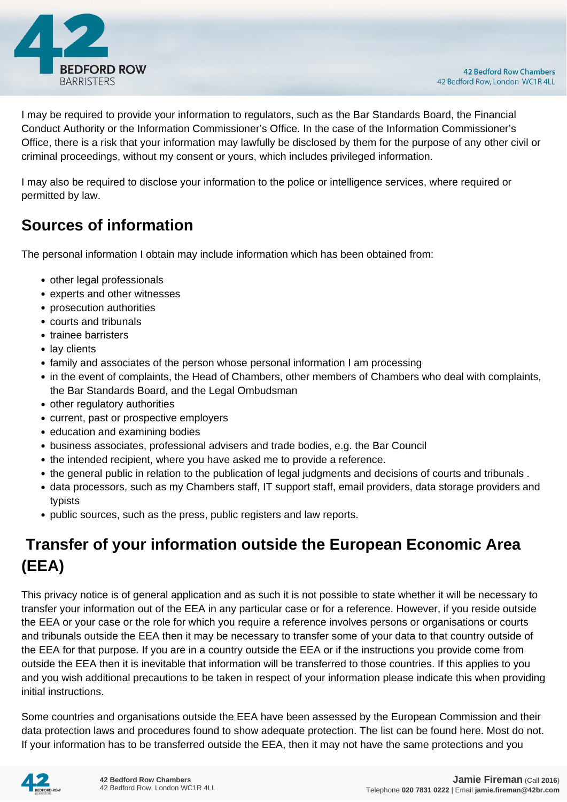

I may be required to provide your information to regulators, such as the Bar Standards Board, the Financial Conduct Authority or the Information Commissioner's Office. In the case of the Information Commissioner's Office, there is a risk that your information may lawfully be disclosed by them for the purpose of any other civil or criminal proceedings, without my consent or yours, which includes privileged information.

I may also be required to disclose your information to the police or intelligence services, where required or permitted by law.

# **Sources of information**

The personal information I obtain may include information which has been obtained from:

- other legal professionals
- experts and other witnesses
- prosecution authorities
- courts and tribunals
- trainee barristers
- lay clients
- family and associates of the person whose personal information I am processing
- in the event of complaints, the Head of Chambers, other members of Chambers who deal with complaints, the Bar Standards Board, and the Legal Ombudsman
- other regulatory authorities
- current, past or prospective employers
- education and examining bodies
- business associates, professional advisers and trade bodies, e.g. the Bar Council
- the intended recipient, where you have asked me to provide a reference.
- the general public in relation to the publication of legal judgments and decisions of courts and tribunals .
- data processors, such as my Chambers staff, IT support staff, email providers, data storage providers and typists
- public sources, such as the press, public registers and law reports.

# **Transfer of your information outside the European Economic Area (EEA)**

This privacy notice is of general application and as such it is not possible to state whether it will be necessary to transfer your information out of the EEA in any particular case or for a reference. However, if you reside outside the EEA or your case or the role for which you require a reference involves persons or organisations or courts and tribunals outside the EEA then it may be necessary to transfer some of your data to that country outside of the EEA for that purpose. If you are in a country outside the EEA or if the instructions you provide come from outside the EEA then it is inevitable that information will be transferred to those countries. If this applies to you and you wish additional precautions to be taken in respect of your information please indicate this when providing initial instructions.

Some countries and organisations outside the EEA have been assessed by the European Commission and their data protection laws and procedures found to show adequate protection. The list can be found here. Most do not. If your information has to be transferred outside the EEA, then it may not have the same protections and you

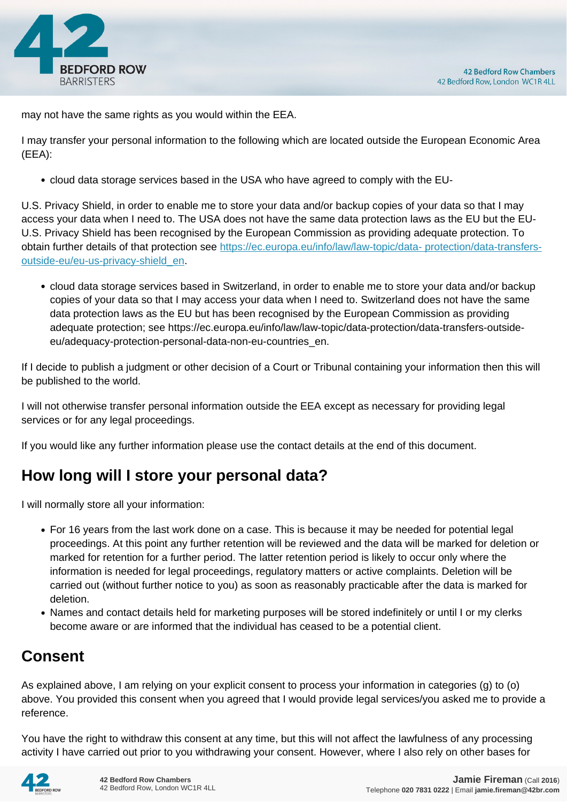

may not have the same rights as you would within the EEA.

I may transfer your personal information to the following which are located outside the European Economic Area (EEA):

cloud data storage services based in the USA who have agreed to comply with the EU-

U.S. Privacy Shield, in order to enable me to store your data and/or backup copies of your data so that I may access your data when I need to. The USA does not have the same data protection laws as the EU but the EU-U.S. Privacy Shield has been recognised by the European Commission as providing adequate protection. To obtain further details of that protection see [https://ec.europa.eu/info/law/law-topic/data- protection/data-transfers](https://ec.europa.eu/info/law/law-topic/data- protection/data-transfers-outside-eu/eu-us-privacy-shield_en)[outside-eu/eu-us-privacy-shield\\_en.](https://ec.europa.eu/info/law/law-topic/data- protection/data-transfers-outside-eu/eu-us-privacy-shield_en)

cloud data storage services based in Switzerland, in order to enable me to store your data and/or backup copies of your data so that I may access your data when I need to. Switzerland does not have the same data protection laws as the EU but has been recognised by the European Commission as providing adequate protection; see https://ec.europa.eu/info/law/law-topic/data-protection/data-transfers-outsideeu/adequacy-protection-personal-data-non-eu-countries\_en.

If I decide to publish a judgment or other decision of a Court or Tribunal containing your information then this will be published to the world.

I will not otherwise transfer personal information outside the EEA except as necessary for providing legal services or for any legal proceedings.

If you would like any further information please use the contact details at the end of this document.

# **How long will I store your personal data?**

I will normally store all your information:

- For 16 years from the last work done on a case. This is because it may be needed for potential legal proceedings. At this point any further retention will be reviewed and the data will be marked for deletion or marked for retention for a further period. The latter retention period is likely to occur only where the information is needed for legal proceedings, regulatory matters or active complaints. Deletion will be carried out (without further notice to you) as soon as reasonably practicable after the data is marked for deletion.
- Names and contact details held for marketing purposes will be stored indefinitely or until I or my clerks become aware or are informed that the individual has ceased to be a potential client.

# **Consent**

As explained above, I am relying on your explicit consent to process your information in categories (g) to (o) above. You provided this consent when you agreed that I would provide legal services/you asked me to provide a reference.

You have the right to withdraw this consent at any time, but this will not affect the lawfulness of any processing activity I have carried out prior to you withdrawing your consent. However, where I also rely on other bases for

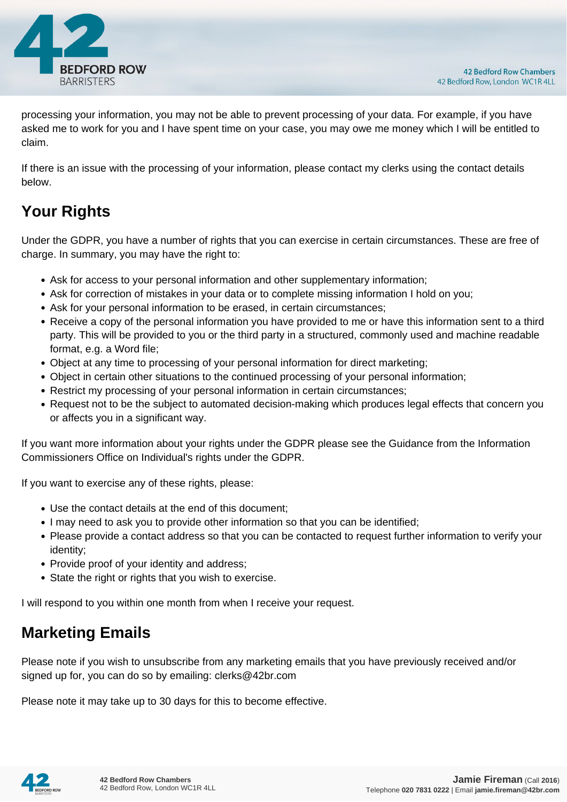

processing your information, you may not be able to prevent processing of your data. For example, if you have asked me to work for you and I have spent time on your case, you may owe me money which I will be entitled to claim.

If there is an issue with the processing of your information, please contact my clerks using the contact details below.

# **Your Rights**

Under the GDPR, you have a number of rights that you can exercise in certain circumstances. These are free of charge. In summary, you may have the right to:

- Ask for access to your personal information and other supplementary information;
- Ask for correction of mistakes in your data or to complete missing information I hold on you;
- Ask for your personal information to be erased, in certain circumstances;
- Receive a copy of the personal information you have provided to me or have this information sent to a third party. This will be provided to you or the third party in a structured, commonly used and machine readable format, e.g. a Word file;
- Object at any time to processing of your personal information for direct marketing;
- Object in certain other situations to the continued processing of your personal information;
- Restrict my processing of your personal information in certain circumstances;
- Request not to be the subject to automated decision-making which produces legal effects that concern you or affects you in a significant way.

If you want more information about your rights under the GDPR please see the Guidance from the Information Commissioners Office on Individual's rights under the GDPR.

If you want to exercise any of these rights, please:

- Use the contact details at the end of this document;
- I may need to ask you to provide other information so that you can be identified;
- Please provide a contact address so that you can be contacted to request further information to verify your identity;
- Provide proof of your identity and address;
- State the right or rights that you wish to exercise.

I will respond to you within one month from when I receive your request.

## **Marketing Emails**

Please note if you wish to unsubscribe from any marketing emails that you have previously received and/or signed up for, you can do so by emailing: clerks@42br.com

Please note it may take up to 30 days for this to become effective.